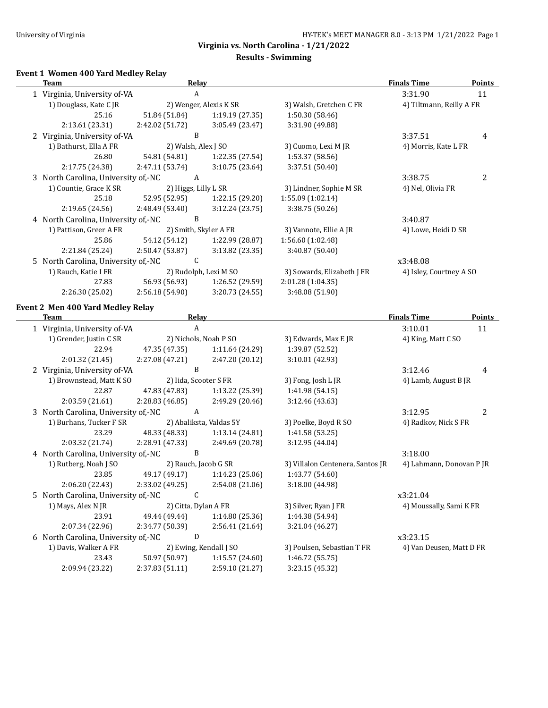# **Results - Swimming**

#### **Event 1 Women 400 Yard Medley Relay**

| <b>Team</b>                         | Relay                |                         |                                  | <b>Finals Time</b>       | <b>Points</b>  |
|-------------------------------------|----------------------|-------------------------|----------------------------------|--------------------------|----------------|
| 1 Virginia, University of-VA        | $\boldsymbol{A}$     |                         |                                  | 3:31.90                  | 11             |
| 1) Douglass, Kate C JR              |                      | 2) Wenger, Alexis K SR  | 3) Walsh, Gretchen C FR          | 4) Tiltmann, Reilly A FR |                |
| 25.16                               | 51.84 (51.84)        | 1:19.19 (27.35)         | 1:50.30 (58.46)                  |                          |                |
| 2:13.61 (23.31)                     | 2:42.02 (51.72)      | 3:05.49 (23.47)         | 3:31.90 (49.88)                  |                          |                |
| 2 Virginia, University of-VA        | $\, {\bf B}$         |                         |                                  | 3:37.51                  | 4              |
| 1) Bathurst, Ella A FR              | 2) Walsh, Alex J SO  |                         | 3) Cuomo, Lexi M JR              | 4) Morris, Kate L FR     |                |
| 26.80                               | 54.81 (54.81)        | 1:22.35 (27.54)         | 1:53.37 (58.56)                  |                          |                |
| 2:17.75 (24.38)                     | 2:47.11 (53.74)      | 3:10.75 (23.64)         | 3:37.51 (50.40)                  |                          |                |
| 3 North Carolina, University of,-NC | $\boldsymbol{A}$     |                         |                                  | 3:38.75                  | $\overline{c}$ |
| 1) Countie, Grace K SR              | 2) Higgs, Lilly L SR |                         | 3) Lindner, Sophie M SR          | 4) Nel, Olivia FR        |                |
| 25.18                               | 52.95 (52.95)        | 1:22.15 (29.20)         | 1:55.09 (1:02.14)                |                          |                |
| 2:19.65 (24.56)                     | 2:48.49 (53.40)      | 3:12.24 (23.75)         | 3:38.75 (50.26)                  |                          |                |
| 4 North Carolina, University of,-NC | B                    |                         |                                  | 3:40.87                  |                |
| 1) Pattison, Greer A FR             |                      | 2) Smith, Skyler A FR   | 3) Vannote, Ellie A JR           | 4) Lowe, Heidi D SR      |                |
| 25.86                               | 54.12 (54.12)        | 1:22.99 (28.87)         | 1:56.60 (1:02.48)                |                          |                |
| 2:21.84 (25.24)                     | 2:50.47 (53.87)      | 3:13.82 (23.35)         | 3:40.87 (50.40)                  |                          |                |
| 5 North Carolina, University of,-NC | C                    |                         |                                  | x3:48.08                 |                |
| 1) Rauch, Katie I FR                |                      | 2) Rudolph, Lexi M SO   | 3) Sowards, Elizabeth J FR       | 4) Isley, Courtney A SO  |                |
| 27.83                               | 56.93 (56.93)        | 1:26.52 (29.59)         | 2:01.28 (1:04.35)                |                          |                |
| 2:26.30 (25.02)                     | 2:56.18 (54.90)      | 3:20.73 (24.55)         | 3:48.08 (51.90)                  |                          |                |
| Event 2 Men 400 Yard Medley Relay   |                      |                         |                                  |                          |                |
| <b>Team</b>                         | <b>Relay</b>         |                         |                                  | <b>Finals Time</b>       | <b>Points</b>  |
| 1 Virginia, University of-VA        | $\boldsymbol{A}$     |                         |                                  | 3:10.01                  | 11             |
| 1) Grender, Justin C SR             |                      | 2) Nichols, Noah P SO   | 3) Edwards, Max E JR             | 4) King, Matt C SO       |                |
| 22.94                               | 47.35 (47.35)        | 1:11.64 (24.29)         | 1:39.87 (52.52)                  |                          |                |
| 2:01.32 (21.45)                     | 2:27.08 (47.21)      | 2:47.20 (20.12)         | 3:10.01 (42.93)                  |                          |                |
| 2 Virginia, University of-VA        | $\mathbf B$          |                         |                                  | 3:12.46                  | 4              |
| 1) Brownstead, Matt K SO            |                      | 2) Iida, Scooter S FR   | 3) Fong, Josh L JR               | 4) Lamb, August B JR     |                |
| 22.87                               | 47.83 (47.83)        | 1:13.22 (25.39)         | 1:41.98 (54.15)                  |                          |                |
| 2:03.59 (21.61)                     | 2:28.83 (46.85)      | 2:49.29 (20.46)         | 3:12.46 (43.63)                  |                          |                |
| 3 North Carolina, University of,-NC | $\mathbf{A}$         |                         |                                  | 3:12.95                  | 2              |
| 1) Burhans, Tucker F SR             |                      | 2) Abaliksta, Valdas 5Y | 3) Poelke, Boyd R SO             | 4) Radkov, Nick S FR     |                |
| 23.29                               | 48.33 (48.33)        | 1:13.14 (24.81)         | 1:41.58 (53.25)                  |                          |                |
| 2:03.32 (21.74)                     | 2:28.91 (47.33)      | 2:49.69 (20.78)         | 3:12.95 (44.04)                  |                          |                |
| 4 North Carolina, University of,-NC | B                    |                         |                                  | 3:18.00                  |                |
| 1) Rutberg, Noah J SO               |                      | 2) Rauch, Jacob G SR    | 3) Villalon Centenera, Santos JR | 4) Lahmann, Donovan P JR |                |
| 23.85                               | 49.17 (49.17)        | 1:14.23(25.06)          | 1:43.77 (54.60)                  |                          |                |
| 2:06.20 (22.43)                     | 2:33.02 (49.25)      | 2:54.08 (21.06)         | 3:18.00 (44.98)                  |                          |                |
| 5 North Carolina, University of,-NC | C                    |                         |                                  | x3:21.04                 |                |
| 1) Mays, Alex N JR                  | 2) Citta, Dylan A FR |                         | 3) Silver, Ryan J FR             | 4) Moussally, Sami K FR  |                |
| 23.91                               | 49.44 (49.44)        | 1:14.80 (25.36)         | 1:44.38 (54.94)                  |                          |                |
| 2:07.34 (22.96)                     | 2:34.77 (50.39)      | 2:56.41 (21.64)         | 3:21.04 (46.27)                  |                          |                |
| 6 North Carolina, University of,-NC | ${\bf D}$            |                         |                                  | x3:23.15                 |                |
| 1) Davis, Walker A FR               |                      | 2) Ewing, Kendall J SO  | 3) Poulsen, Sebastian T FR       | 4) Van Deusen, Matt D FR |                |
| 23.43                               | 50.97 (50.97)        | 1:15.57 (24.60)         | 1:46.72 (55.75)                  |                          |                |
| 2:09.94 (23.22)                     | 2:37.83 (51.11)      | 2:59.10 (21.27)         | 3:23.15 (45.32)                  |                          |                |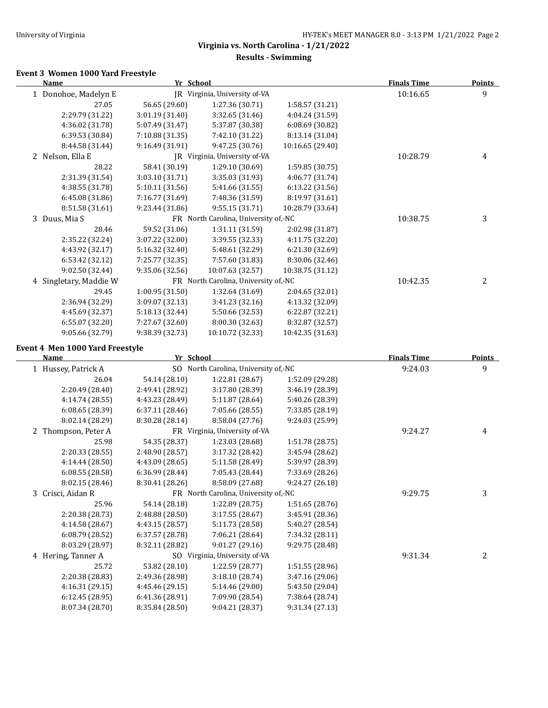$\overline{\phantom{a}}$ 

# **Virginia vs. North Carolina - 1/21/2022**

## **Results - Swimming**

## **Event 3 Women 1000 Yard Freestyle**

| Name                   | Yr School       |                                      |                  | <b>Finals Time</b> | <b>Points</b> |
|------------------------|-----------------|--------------------------------------|------------------|--------------------|---------------|
| 1 Donohoe, Madelyn E   |                 | JR Virginia, University of-VA        |                  | 10:16.65           | 9             |
| 27.05                  | 56.65 (29.60)   | 1:27.36 (30.71)                      | 1:58.57 (31.21)  |                    |               |
| 2:29.79 (31.22)        | 3:01.19 (31.40) | 3:32.65 (31.46)                      | 4:04.24 (31.59)  |                    |               |
| 4:36.02 (31.78)        | 5:07.49 (31.47) | 5:37.87 (30.38)                      | 6:08.69 (30.82)  |                    |               |
| 6:39.53 (30.84)        | 7:10.88 (31.35) | 7:42.10 (31.22)                      | 8:13.14 (31.04)  |                    |               |
| 8:44.58 (31.44)        | 9:16.49 (31.91) | 9:47.25 (30.76)                      | 10:16.65 (29.40) |                    |               |
| 2 Nelson, Ella E       |                 | JR Virginia, University of-VA        |                  | 10:28.79           | 4             |
| 28.22                  | 58.41 (30.19)   | 1:29.10 (30.69)                      | 1:59.85 (30.75)  |                    |               |
| 2:31.39 (31.54)        | 3:03.10 (31.71) | 3:35.03 (31.93)                      | 4:06.77 (31.74)  |                    |               |
| 4:38.55 (31.78)        | 5:10.11 (31.56) | 5:41.66 (31.55)                      | 6:13.22 (31.56)  |                    |               |
| 6:45.08 (31.86)        | 7:16.77 (31.69) | 7:48.36 (31.59)                      | 8:19.97 (31.61)  |                    |               |
| 8:51.58 (31.61)        | 9:23.44(31.86)  | 9:55.15(31.71)                       | 10:28.79 (33.64) |                    |               |
| 3 Duus, Mia S          |                 | FR North Carolina, University of,-NC |                  | 10:38.75           | 3             |
| 28.46                  | 59.52 (31.06)   | 1:31.11(31.59)                       | 2:02.98 (31.87)  |                    |               |
| 2:35.22 (32.24)        | 3:07.22 (32.00) | 3:39.55 (32.33)                      | 4:11.75 (32.20)  |                    |               |
| 4:43.92 (32.17)        | 5:16.32 (32.40) | 5:48.61 (32.29)                      | 6:21.30 (32.69)  |                    |               |
| 6:53.42 (32.12)        | 7:25.77 (32.35) | 7:57.60 (31.83)                      | 8:30.06 (32.46)  |                    |               |
| 9:02.50 (32.44)        | 9:35.06(32.56)  | 10:07.63 (32.57)                     | 10:38.75 (31.12) |                    |               |
| 4 Singletary, Maddie W |                 | FR North Carolina, University of,-NC |                  | 10:42.35           | 2             |
| 29.45                  | 1:00.95(31.50)  | 1:32.64 (31.69)                      | 2:04.65 (32.01)  |                    |               |
| 2:36.94 (32.29)        | 3:09.07 (32.13) | 3:41.23 (32.16)                      | 4:13.32 (32.09)  |                    |               |
| 4:45.69 (32.37)        | 5:18.13 (32.44) | 5:50.66 (32.53)                      | 6:22.87 (32.21)  |                    |               |
| 6:55.07 (32.20)        | 7:27.67 (32.60) | 8:00.30 (32.63)                      | 8:32.87 (32.57)  |                    |               |
| 9:05.66 (32.79)        | 9:38.39 (32.73) | 10:10.72 (32.33)                     | 10:42.35 (31.63) |                    |               |

#### **Event 4 Men 1000 Yard Freestyle**

| Name                | Yr School       |                                      |                 | <b>Finals Time</b> | <b>Points</b> |
|---------------------|-----------------|--------------------------------------|-----------------|--------------------|---------------|
| 1 Hussey, Patrick A |                 | SO North Carolina, University of,-NC |                 | 9:24.03            | 9             |
| 26.04               | 54.14 (28.10)   | 1:22.81 (28.67)                      | 1:52.09 (29.28) |                    |               |
| 2:20.49 (28.40)     | 2:49.41 (28.92) | 3:17.80 (28.39)                      | 3:46.19 (28.39) |                    |               |
| 4:14.74 (28.55)     | 4:43.23 (28.49) | 5:11.87 (28.64)                      | 5:40.26 (28.39) |                    |               |
| 6:08.65(28.39)      | 6:37.11(28.46)  | 7:05.66 (28.55)                      | 7:33.85 (28.19) |                    |               |
| 8:02.14 (28.29)     | 8:30.28 (28.14) | 8:58.04 (27.76)                      | 9:24.03 (25.99) |                    |               |
| 2 Thompson, Peter A |                 | FR Virginia, University of-VA        |                 | 9:24.27            | 4             |
| 25.98               | 54.35 (28.37)   | 1:23.03 (28.68)                      | 1:51.78 (28.75) |                    |               |
| 2:20.33 (28.55)     | 2:48.90 (28.57) | 3:17.32 (28.42)                      | 3:45.94 (28.62) |                    |               |
| 4:14.44 (28.50)     | 4:43.09 (28.65) | 5:11.58 (28.49)                      | 5:39.97 (28.39) |                    |               |
| 6:08.55(28.58)      | 6:36.99 (28.44) | 7:05.43 (28.44)                      | 7:33.69 (28.26) |                    |               |
| 8:02.15 (28.46)     | 8:30.41 (28.26) | 8:58.09 (27.68)                      | 9:24.27 (26.18) |                    |               |
| 3 Crisci, Aidan R   |                 | FR North Carolina, University of,-NC |                 | 9:29.75            | 3             |
| 25.96               | 54.14 (28.18)   | 1:22.89 (28.75)                      | 1:51.65 (28.76) |                    |               |
| 2:20.38 (28.73)     | 2:48.88 (28.50) | 3:17.55(28.67)                       | 3:45.91 (28.36) |                    |               |
| 4:14.58 (28.67)     | 4:43.15 (28.57) | 5:11.73 (28.58)                      | 5:40.27 (28.54) |                    |               |
| 6:08.79 (28.52)     | 6:37.57 (28.78) | 7:06.21 (28.64)                      | 7:34.32 (28.11) |                    |               |
| 8:03.29 (28.97)     | 8:32.11 (28.82) | 9:01.27 (29.16)                      | 9:29.75 (28.48) |                    |               |
| 4 Hering, Tanner A  |                 | SO Virginia, University of-VA        |                 | 9:31.34            | 2             |
| 25.72               | 53.82 (28.10)   | 1:22.59 (28.77)                      | 1:51.55 (28.96) |                    |               |
| 2:20.38 (28.83)     | 2:49.36 (28.98) | 3:18.10(28.74)                       | 3:47.16 (29.06) |                    |               |
| 4:16.31 (29.15)     | 4:45.46 (29.15) | 5:14.46 (29.00)                      | 5:43.50 (29.04) |                    |               |
| 6:12.45 (28.95)     | 6:41.36 (28.91) | 7:09.90 (28.54)                      | 7:38.64 (28.74) |                    |               |
| 8:07.34 (28.70)     | 8:35.84 (28.50) | 9:04.21 (28.37)                      | 9:31.34 (27.13) |                    |               |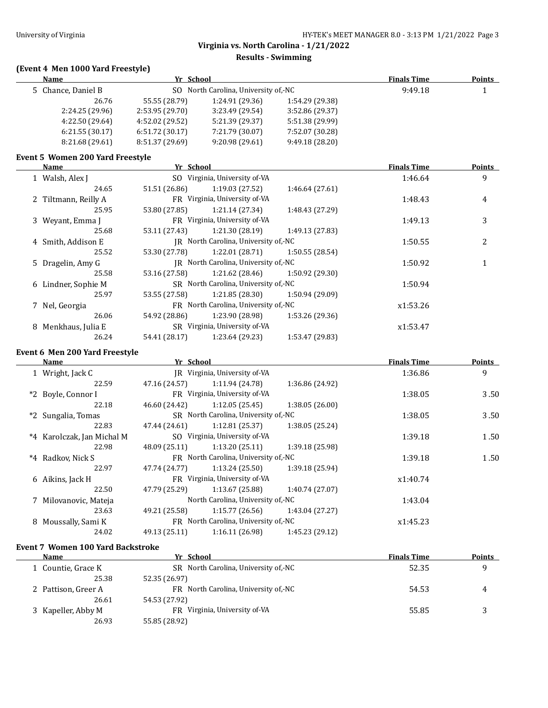#### **Results - Swimming**

# **(Event 4 Men 1000 Yard Freestyle)**

| <b>Name</b>        | Yr School                            |                 |                 | <b>Finals Time</b> | <b>Points</b> |
|--------------------|--------------------------------------|-----------------|-----------------|--------------------|---------------|
| 5 Chance, Daniel B | SO North Carolina, University of, NC |                 |                 | 9:49.18            |               |
| 26.76              | 55.55 (28.79)                        | 1:24.91 (29.36) | 1:54.29 (29.38) |                    |               |
| 2:24.25(29.96)     | 2:53.95(29.70)                       | 3:23.49(29.54)  | 3:52.86 (29.37) |                    |               |
| 4:22.50 (29.64)    | 4:52.02 (29.52)                      | 5:21.39 (29.37) | 5:51.38 (29.99) |                    |               |
| 6:21.55(30.17)     | 6:51.72(30.17)                       | 7:21.79 (30.07) | 7:52.07 (30.28) |                    |               |
| 8:21.68(29.61)     | 8:51.37 (29.69)                      | 9:20.98(29.61)  | 9:49.18(28.20)  |                    |               |
|                    |                                      |                 |                 |                    |               |

#### **Event 5 Women 200 Yard Freestyle**

|   | Name                 | Yr School                            |                                      |                 | <b>Finals Time</b> | <b>Points</b> |
|---|----------------------|--------------------------------------|--------------------------------------|-----------------|--------------------|---------------|
|   | 1 Walsh, Alex J      |                                      | SO Virginia, University of-VA        |                 | 1:46.64            | 9             |
|   | 24.65                | 51.51 (26.86)                        | 1:19.03(27.52)                       | 1:46.64(27.61)  |                    |               |
|   | 2 Tiltmann, Reilly A |                                      | FR Virginia, University of-VA        |                 | 1:48.43            | 4             |
|   | 25.95                | 53.80 (27.85)                        | 1:21.14(27.34)                       | 1:48.43 (27.29) |                    |               |
|   | 3 Weyant, Emma J     |                                      | FR Virginia, University of-VA        |                 | 1:49.13            | 3             |
|   | 25.68                | 53.11 (27.43)                        | 1:21.30 (28.19)                      | 1:49.13 (27.83) |                    |               |
|   | 4 Smith, Addison E   |                                      | IR North Carolina, University of,-NC |                 | 1:50.55            | 2             |
|   | 25.52                | 53.30 (27.78)                        | 1:22.01 (28.71)                      | 1:50.55(28.54)  |                    |               |
|   | 5 Dragelin, Amy G    |                                      | IR North Carolina, University of,-NC |                 | 1:50.92            |               |
|   | 25.58                | 53.16 (27.58)                        | 1:21.62 (28.46)                      | 1:50.92 (29.30) |                    |               |
|   | 6 Lindner, Sophie M  | SR North Carolina, University of,-NC |                                      | 1:50.94         |                    |               |
|   | 25.97                | 53.55 (27.58)                        | 1:21.85(28.30)                       | 1:50.94 (29.09) |                    |               |
|   | 7 Nel, Georgia       |                                      | FR North Carolina, University of,-NC |                 | x1:53.26           |               |
|   | 26.06                | 54.92 (28.86)                        | 1:23.90 (28.98)                      | 1:53.26 (29.36) |                    |               |
| 8 | Menkhaus, Julia E    |                                      | SR Virginia, University of-VA        |                 | x1:53.47           |               |
|   | 26.24                | 54.41 (28.17)                        | 1:23.64 (29.23)                      | 1:53.47 (29.83) |                    |               |

#### **Event 6 Men 200 Yard Freestyle**

 $\overline{\phantom{a}}$ 

|       | Name                       | Yr School     |                                      |                 | <b>Finals Time</b> | Points |
|-------|----------------------------|---------------|--------------------------------------|-----------------|--------------------|--------|
|       | 1 Wright, Jack C           |               | JR Virginia, University of-VA        |                 | 1:36.86            | 9      |
|       | 22.59                      | 47.16 (24.57) | 1:11.94(24.78)                       | 1:36.86 (24.92) |                    |        |
|       | *2 Boyle, Connor I         |               | FR Virginia, University of-VA        |                 | 1:38.05            | 3.50   |
|       | 22.18                      | 46.60 (24.42) | 1:12.05(25.45)                       | 1:38.05(26.00)  |                    |        |
|       | *2 Sungalia, Tomas         |               | SR North Carolina, University of,-NC |                 | 1:38.05            | 3.50   |
|       | 22.83                      | 47.44 (24.61) | 1:12.81(25.37)                       | 1:38.05(25.24)  |                    |        |
|       | *4 Karolczak, Jan Michal M |               | SO Virginia, University of-VA        |                 | 1:39.18            | 1.50   |
|       | 22.98                      | 48.09 (25.11) | 1:13.20(25.11)                       | 1:39.18 (25.98) |                    |        |
| $^*4$ | Radkov, Nick S             |               | FR North Carolina, University of,-NC |                 | 1:39.18            | 1.50   |
|       | 22.97                      | 47.74 (24.77) | 1:13.24(25.50)                       | 1:39.18(25.94)  |                    |        |
|       | 6 Aikins, Jack H           |               | FR Virginia, University of-VA        |                 | x1:40.74           |        |
|       | 22.50                      | 47.79 (25.29) | 1:13.67(25.88)                       | 1:40.74(27.07)  |                    |        |
|       | 7 Milovanovic, Mateja      |               | North Carolina, University of,-NC    |                 | 1:43.04            |        |
|       | 23.63                      | 49.21 (25.58) | 1:15.77(26.56)                       | 1:43.04(27.27)  |                    |        |
| 8     | Moussally, Sami K          |               | FR North Carolina, University of,-NC |                 | x1:45.23           |        |
|       | 24.02                      | 49.13 (25.11) | 1:16.11(26.98)                       | 1:45.23 (29.12) |                    |        |

## **Event 7 Women 100 Yard Backstroke**

| Name                | Yr School                            | <b>Finals Time</b> | <b>Points</b> |
|---------------------|--------------------------------------|--------------------|---------------|
| 1 Countie, Grace K  | SR North Carolina, University of, NC | 52.35              | a             |
| 25.38               | 52.35 (26.97)                        |                    |               |
| 2 Pattison, Greer A | FR North Carolina, University of,-NC | 54.53              | 4             |
| 26.61               | 54.53 (27.92)                        |                    |               |
| 3 Kapeller, Abby M  | FR Virginia, University of VA        | 55.85              |               |
| 26.93               | 55.85 (28.92)                        |                    |               |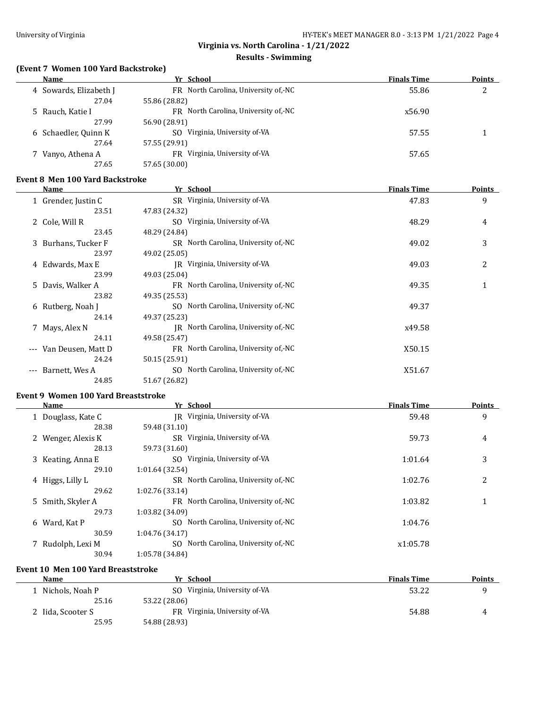#### **Results - Swimming**

## **(Event 7 Women 100 Yard Backstroke)**

| <b>Name</b>            | Yr School                               | <b>Finals Time</b> | <b>Points</b> |
|------------------------|-----------------------------------------|--------------------|---------------|
| 4 Sowards, Elizabeth J | FR North Carolina, University of,-NC    | 55.86              | 2             |
| 27.04                  | 55.86 (28.82)                           |                    |               |
| 5 Rauch, Katie I       | North Carolina, University of,-NC<br>FR | x56.90             |               |
| 27.99                  | 56.90 (28.91)                           |                    |               |
| 6 Schaedler, Quinn K   | Virginia, University of-VA<br>SO.       | 57.55              |               |
| 27.64                  | 57.55 (29.91)                           |                    |               |
| Vanyo, Athena A        | Virginia, University of-VA<br>FR        | 57.65              |               |
| 27.65                  | 57.65 (30.00)                           |                    |               |
|                        |                                         |                    |               |

#### **Event 8 Men 100 Yard Backstroke**

| Name                                      | Yr School                               | <b>Finals Time</b> | <b>Points</b> |
|-------------------------------------------|-----------------------------------------|--------------------|---------------|
| 1 Grender, Justin C                       | SR Virginia, University of-VA           | 47.83              | 9             |
| 23.51                                     | 47.83 (24.32)                           |                    |               |
| 2 Cole, Will R                            | SO Virginia, University of-VA           | 48.29              | 4             |
| 23.45                                     | 48.29 (24.84)                           |                    |               |
| 3 Burhans, Tucker F                       | SR North Carolina, University of,-NC    | 49.02              | 3             |
| 23.97                                     | 49.02 (25.05)                           |                    |               |
| 4 Edwards, Max E                          | IR Virginia, University of-VA           | 49.03              | 2             |
| 23.99                                     | 49.03 (25.04)                           |                    |               |
| 5 Davis, Walker A                         | FR North Carolina, University of,-NC    | 49.35              | 1             |
| 23.82                                     | 49.35 (25.53)                           |                    |               |
| 6 Rutberg, Noah J                         | SO North Carolina, University of,-NC    | 49.37              |               |
| 24.14                                     | 49.37 (25.23)                           |                    |               |
| 7 Mays, Alex N                            | North Carolina, University of,-NC<br>IR | x49.58             |               |
| 24.11                                     | 49.58 (25.47)                           |                    |               |
| Van Deusen, Matt D<br>$\qquad \qquad - -$ | FR North Carolina, University of,-NC    | X50.15             |               |
| 24.24                                     | 50.15 (25.91)                           |                    |               |
| Barnett, Wes A<br>$---$                   | SO North Carolina, University of, NC    | X51.67             |               |
| 24.85                                     | 51.67 (26.82)                           |                    |               |

#### **Event 9 Women 100 Yard Breaststroke**

| <b>Name</b>        | Yr School                            | <b>Finals Time</b> | <b>Points</b> |
|--------------------|--------------------------------------|--------------------|---------------|
| 1 Douglass, Kate C | IR Virginia, University of-VA        | 59.48              | 9             |
| 28.38              | 59.48 (31.10)                        |                    |               |
| 2 Wenger, Alexis K | SR Virginia, University of-VA        | 59.73              | 4             |
| 28.13              | 59.73 (31.60)                        |                    |               |
| 3 Keating, Anna E  | SO Virginia, University of-VA        | 1:01.64            | 3             |
| 29.10              | 1:01.64 (32.54)                      |                    |               |
| 4 Higgs, Lilly L   | SR North Carolina, University of,-NC | 1:02.76            | 2             |
| 29.62              | 1:02.76 (33.14)                      |                    |               |
| 5 Smith, Skyler A  | FR North Carolina, University of,-NC | 1:03.82            | 1             |
| 29.73              | 1:03.82 (34.09)                      |                    |               |
| 6 Ward, Kat P      | SO North Carolina, University of,-NC | 1:04.76            |               |
| 30.59              | 1:04.76 (34.17)                      |                    |               |
| 7 Rudolph, Lexi M  | SO North Carolina, University of,-NC | x1:05.78           |               |
| 30.94              | 1:05.78 (34.84)                      |                    |               |

#### **Event 10 Men 100 Yard Breaststroke**

| <b>Name</b>       | Yr School                     | <b>Finals Time</b> | <b>Points</b> |
|-------------------|-------------------------------|--------------------|---------------|
| Nichols, Noah P   | SO Virginia, University of VA | 53.22              |               |
| 25.16             | 53.22 (28.06)                 |                    |               |
| 2 Iida, Scooter S | FR Virginia, University of-VA | 54.88              | 4             |
| 25.95             | 54.88 (28.93)                 |                    |               |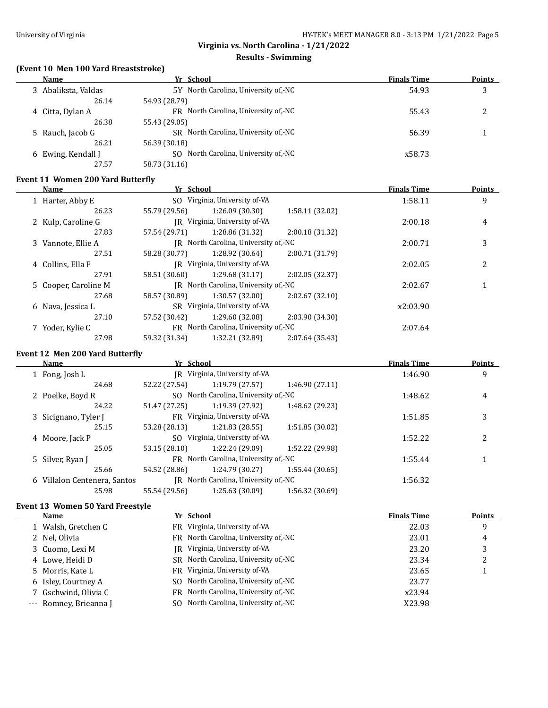#### **Results - Swimming**

# **(Event 10 Men 100 Yard Breaststroke)**

| Name                | Yr School                            | <b>Finals Time</b> | <b>Points</b> |
|---------------------|--------------------------------------|--------------------|---------------|
| 3 Abaliksta, Valdas | 5Y North Carolina, University of,-NC | 54.93              | 3             |
| 26.14               | 54.93 (28.79)                        |                    |               |
| 4 Citta, Dylan A    | FR North Carolina, University of, NC | 55.43              |               |
| 26.38               | 55.43 (29.05)                        |                    |               |
| 5 Rauch, Jacob G    | SR North Carolina, University of, NC | 56.39              |               |
| 26.21               | 56.39 (30.18)                        |                    |               |
| 6 Ewing, Kendall J  | SO North Carolina, University of, NC | x58.73             |               |
| 27.57               | 58.73 (31.16)                        |                    |               |

#### **Event 11 Women 200 Yard Butterfly**

| Name                 | Yr School                            |                                      |                 | <b>Finals Time</b> | <b>Points</b>  |
|----------------------|--------------------------------------|--------------------------------------|-----------------|--------------------|----------------|
| 1 Harter, Abby E     |                                      | SO Virginia, University of-VA        |                 | 1:58.11            | 9              |
| 26.23                | 55.79 (29.56)                        | 1:26.09(30.30)                       | 1:58.11 (32.02) |                    |                |
| 2 Kulp, Caroline G   |                                      | IR Virginia, University of-VA        |                 | 2:00.18            | 4              |
| 27.83                | 57.54 (29.71)                        | 1:28.86 (31.32)                      | 2:00.18 (31.32) |                    |                |
| 3 Vannote, Ellie A   | IR North Carolina, University of,-NC |                                      |                 | 2:00.71            | 3              |
| 27.51                | 58.28 (30.77)                        | 1:28.92 (30.64)                      | 2:00.71 (31.79) |                    |                |
| 4 Collins, Ella F    | JR Virginia, University of-VA        |                                      |                 | 2:02.05            | $\overline{c}$ |
| 27.91                | 58.51 (30.60)                        | 1:29.68(31.17)                       | 2:02.05 (32.37) |                    |                |
| 5 Cooper, Caroline M |                                      | IR North Carolina, University of,-NC |                 | 2:02.67            |                |
| 27.68                | 58.57 (30.89)                        | 1:30.57(32.00)                       | 2:02.67(32.10)  |                    |                |
| 6 Nava, Jessica L    |                                      | SR Virginia, University of-VA        |                 | x2:03.90           |                |
| 27.10                | 57.52 (30.42)                        | 1:29.60 (32.08)                      | 2:03.90 (34.30) |                    |                |
| 7 Yoder, Kylie C     |                                      | FR North Carolina, University of,-NC |                 | 2:07.64            |                |
| 27.98                | 59.32 (31.34)                        | 1:32.21 (32.89)                      | 2:07.64 (35.43) |                    |                |

#### **Event 12 Men 200 Yard Butterfly**

| <b>Name</b>                  | Yr School                            |                                        |                 | <b>Finals Time</b> | <b>Points</b> |
|------------------------------|--------------------------------------|----------------------------------------|-----------------|--------------------|---------------|
| 1 Fong, Josh L               | IR Virginia, University of-VA        |                                        |                 | 1:46.90            | 9             |
| 24.68                        | 52.22 (27.54)                        | 1:19.79 (27.57)                        | 1:46.90 (27.11) |                    |               |
| 2 Poelke, Boyd R             |                                      | SO North Carolina, University of,-NC   |                 | 1:48.62            | 4             |
| 24.22                        | 51.47 (27.25)                        | 1:19.39 (27.92)                        | 1:48.62 (29.23) |                    |               |
| 3 Sicignano, Tyler J         | FR Virginia, University of-VA        |                                        | 1:51.85         | 3                  |               |
| 25.15                        | 53.28 (28.13)                        | 1:21.83(28.55)                         | 1:51.85 (30.02) |                    |               |
| 4 Moore, Jack P              |                                      | SO Virginia, University of-VA          |                 | 1:52.22            | 2             |
| 25.05                        | 53.15 (28.10)                        | 1:22.24 (29.09)                        | 1:52.22 (29.98) |                    |               |
| 5 Silver, Ryan J             |                                      | FR North Carolina, University of .- NC |                 | 1:55.44            |               |
| 25.66                        | 54.52 (28.86)                        | 1:24.79 (30.27)                        | 1:55.44 (30.65) |                    |               |
| 6 Villalon Centenera, Santos | IR North Carolina, University of,-NC |                                        |                 | 1:56.32            |               |
| 25.98                        | 55.54 (29.56)                        | 1:25.63 (30.09)                        | 1:56.32 (30.69) |                    |               |
|                              |                                      |                                        |                 |                    |               |

#### **Event 13 Women 50 Yard Freestyle**

| <b>Name</b>            | Yr School                            | <b>Finals Time</b> | Points |
|------------------------|--------------------------------------|--------------------|--------|
| 1 Walsh, Gretchen C    | FR Virginia, University of-VA        | 22.03              | 9      |
| 2 Nel, Olivia          | FR North Carolina, University of,-NC | 23.01              | 4      |
| 3 Cuomo, Lexi M        | IR Virginia, University of-VA        | 23.20              |        |
| 4 Lowe, Heidi D        | SR North Carolina, University of,-NC | 23.34              |        |
| 5 Morris, Kate L       | FR Virginia, University of-VA        | 23.65              |        |
| 6 Isley, Courtney A    | SO North Carolina, University of,-NC | 23.77              |        |
| 7 Gschwind, Olivia C   | FR North Carolina, University of,-NC | x23.94             |        |
| --- Romney, Brieanna J | SO North Carolina, University of,-NC | X23.98             |        |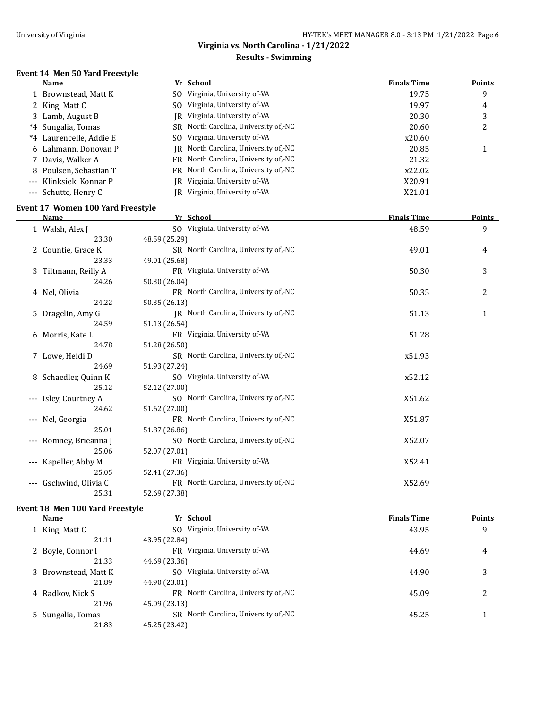$\equiv$ 

# **Virginia vs. North Carolina - 1/21/2022**

#### **Results - Swimming**

## **Event 14 Men 50 Yard Freestyle**

|                     | Name                    |     | Yr School                            | <b>Finals Time</b> | Points |
|---------------------|-------------------------|-----|--------------------------------------|--------------------|--------|
|                     | 1 Brownstead, Matt K    | SO. | Virginia, University of-VA           | 19.75              | 9      |
|                     | 2 King, Matt C          | SO. | Virginia, University of-VA           | 19.97              | 4      |
|                     | 3 Lamb, August B        |     | IR Virginia, University of-VA        | 20.30              | 3      |
|                     | *4 Sungalia, Tomas      |     | SR North Carolina, University of,-NC | 20.60              | 2      |
|                     | *4 Laurencelle, Addie E |     | SO Virginia, University of-VA        | x20.60             |        |
|                     | 6 Lahmann, Donovan P    |     | IR North Carolina, University of,-NC | 20.85              |        |
|                     | 7 Davis, Walker A       |     | FR North Carolina, University of,-NC | 21.32              |        |
|                     | 8 Poulsen, Sebastian T  |     | FR North Carolina, University of,-NC | x22.02             |        |
| $\qquad \qquad - -$ | Klinksiek, Konnar P     |     | IR Virginia, University of-VA        | X20.91             |        |
|                     | --- Schutte, Henry C    |     | JR Virginia, University of-VA        | X21.01             |        |

## **Event 17 Women 100 Yard Freestyle**

|       | Name                  | Yr School                            | <b>Finals Time</b> | <b>Points</b> |
|-------|-----------------------|--------------------------------------|--------------------|---------------|
|       | 1 Walsh, Alex J       | SO Virginia, University of-VA        | 48.59              | 9             |
|       | 23.30                 | 48.59 (25.29)                        |                    |               |
|       | 2 Countie, Grace K    | SR North Carolina, University of,-NC | 49.01              | 4             |
|       | 23.33                 | 49.01 (25.68)                        |                    |               |
|       | 3 Tiltmann, Reilly A  | FR Virginia, University of VA        | 50.30              | 3             |
|       | 24.26                 | 50.30 (26.04)                        |                    |               |
|       | 4 Nel, Olivia         | FR North Carolina, University of,-NC | 50.35              | 2             |
|       | 24.22                 | 50.35 (26.13)                        |                    |               |
|       | 5 Dragelin, Amy G     | JR North Carolina, University of,-NC | 51.13              | 1             |
|       | 24.59                 | 51.13 (26.54)                        |                    |               |
|       | 6 Morris, Kate L      | FR Virginia, University of-VA        | 51.28              |               |
|       | 24.78                 | 51.28 (26.50)                        |                    |               |
|       | 7 Lowe, Heidi D       | SR North Carolina, University of,-NC | x51.93             |               |
|       | 24.69                 | 51.93 (27.24)                        |                    |               |
|       | 8 Schaedler, Quinn K  | SO Virginia, University of-VA        | x52.12             |               |
|       | 25.12                 | 52.12 (27.00)                        |                    |               |
|       | --- Isley, Courtney A | SO North Carolina, University of,-NC | X51.62             |               |
|       | 24.62                 | 51.62 (27.00)                        |                    |               |
|       | Nel, Georgia          | FR North Carolina, University of,-NC | X51.87             |               |
|       | 25.01                 | 51.87 (26.86)                        |                    |               |
|       | Romney, Brieanna J    | SO North Carolina, University of,-NC | X52.07             |               |
|       | 25.06                 | 52.07 (27.01)                        |                    |               |
| $---$ | Kapeller, Abby M      | FR Virginia, University of-VA        | X52.41             |               |
|       | 25.05                 | 52.41 (27.36)                        |                    |               |
| $---$ | Gschwind, Olivia C    | FR North Carolina, University of,-NC | X52.69             |               |
|       | 25.31                 | 52.69 (27.38)                        |                    |               |

#### **Event 18 Men 100 Yard Freestyle**

| Name                 | Yr School                            | <b>Finals Time</b> | <b>Points</b> |
|----------------------|--------------------------------------|--------------------|---------------|
| 1 King, Matt C       | SO Virginia, University of-VA        | 43.95              | 9             |
| 21.11                | 43.95 (22.84)                        |                    |               |
| 2 Boyle, Connor I    | FR Virginia, University of-VA        | 44.69              | 4             |
| 21.33                | 44.69 (23.36)                        |                    |               |
| 3 Brownstead, Matt K | SO Virginia, University of-VA        | 44.90              | 3             |
| 21.89                | 44.90 (23.01)                        |                    |               |
| 4 Radkov, Nick S     | FR North Carolina, University of,-NC | 45.09              | 2             |
| 21.96                | 45.09 (23.13)                        |                    |               |
| 5 Sungalia, Tomas    | SR North Carolina, University of, NC | 45.25              |               |
| 21.83                | 45.25 (23.42)                        |                    |               |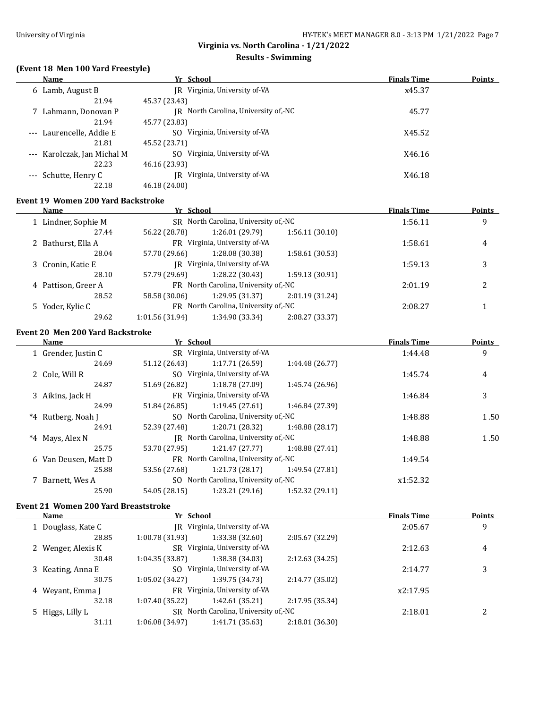$\overline{a}$ 

 $\frac{1}{2}$ 

L.

## **Virginia vs. North Carolina - 1/21/2022**

#### **Results - Swimming**

# **(Event 18 Men 100 Yard Freestyle)**

|                     | Name                     | Yr School                            | <b>Finals Time</b> | <b>Points</b> |
|---------------------|--------------------------|--------------------------------------|--------------------|---------------|
|                     | 6 Lamb, August B         | Virginia, University of VA<br>IR     | x45.37             |               |
|                     | 21.94                    | 45.37 (23.43)                        |                    |               |
|                     | 7 Lahmann, Donovan P     | IR North Carolina, University of,-NC | 45.77              |               |
|                     | 21.94                    | 45.77 (23.83)                        |                    |               |
|                     | --- Laurencelle, Addie E | Virginia, University of-VA<br>SO.    | X45.52             |               |
|                     | 21.81                    | 45.52 (23.71)                        |                    |               |
| $\qquad \qquad - -$ | Karolczak, Jan Michal M  | Virginia, University of-VA<br>SO.    | X46.16             |               |
|                     | 22.23                    | 46.16 (23.93)                        |                    |               |
| $\cdots$            | Schutte, Henry C         | Virginia, University of-VA<br>IR     | X46.18             |               |
|                     | 22.18                    | 46.18 (24.00)                        |                    |               |

#### **Event 19 Women 200 Yard Backstroke**

|   | Name                | Yr School       |                                      |                 | <b>Finals Time</b> | <b>Points</b> |
|---|---------------------|-----------------|--------------------------------------|-----------------|--------------------|---------------|
|   | 1 Lindner, Sophie M |                 | SR North Carolina, University of,-NC |                 | 1:56.11            | 9             |
|   | 27.44               | 56.22 (28.78)   | 1:26.01 (29.79)                      | 1:56.11(30.10)  |                    |               |
|   | 2 Bathurst, Ella A  |                 | FR Virginia, University of-VA        |                 | 1:58.61            | 4             |
|   | 28.04               | 57.70 (29.66)   | 1:28.08 (30.38)                      | 1:58.61(30.53)  |                    |               |
|   | 3 Cronin, Katie E   |                 | IR Virginia, University of-VA        |                 | 1:59.13            | 3             |
|   | 28.10               | 57.79 (29.69)   | 1:28.22(30.43)                       | 1:59.13(30.91)  |                    |               |
| 4 | Pattison, Greer A   |                 | FR North Carolina, University of,-NC |                 | 2:01.19            | 2             |
|   | 28.52               | 58.58 (30.06)   | 1:29.95(31.37)                       | 2:01.19(31.24)  |                    |               |
|   | 5 Yoder, Kylie C    |                 | FR North Carolina, University of,-NC |                 | 2:08.27            |               |
|   | 29.62               | 1:01.56 (31.94) | 1:34.90 (33.34)                      | 2:08.27 (33.37) |                    |               |

#### **Event 20 Men 200 Yard Backstroke**

| Name                 | Yr School     |                                      |                 | <b>Finals Time</b> | <b>Points</b> |
|----------------------|---------------|--------------------------------------|-----------------|--------------------|---------------|
| 1 Grender, Justin C  |               | SR Virginia, University of-VA        |                 | 1:44.48            | 9             |
| 24.69                | 51.12 (26.43) | 1:17.71(26.59)                       | 1:44.48 (26.77) |                    |               |
| 2 Cole, Will R       |               | SO Virginia, University of-VA        |                 | 1:45.74            | 4             |
| 24.87                | 51.69 (26.82) | 1:18.78(27.09)                       | 1:45.74 (26.96) |                    |               |
| 3 Aikins, Jack H     |               | FR Virginia, University of-VA        |                 | 1:46.84            | 3             |
| 24.99                | 51.84 (26.85) | 1:19.45 (27.61)                      | 1:46.84 (27.39) |                    |               |
| *4 Rutberg, Noah J   |               | SO North Carolina, University of,-NC |                 | 1:48.88            | 1.50          |
| 24.91                | 52.39 (27.48) | 1:20.71 (28.32)                      | 1:48.88 (28.17) |                    |               |
| *4 Mays, Alex N      |               | IR North Carolina, University of,-NC |                 | 1:48.88            | 1.50          |
| 25.75                | 53.70 (27.95) | 1:21.47 (27.77)                      | 1:48.88 (27.41) |                    |               |
| 6 Van Deusen, Matt D |               | FR North Carolina, University of,-NC |                 | 1:49.54            |               |
| 25.88                | 53.56 (27.68) | 1:21.73(28.17)                       | 1:49.54 (27.81) |                    |               |
| 7 Barnett, Wes A     |               | SO North Carolina, University of,-NC |                 | x1:52.32           |               |
| 25.90                | 54.05 (28.15) | 1:23.21(29.16)                       | 1:52.32(29.11)  |                    |               |

#### **Event 21 Women 200 Yard Breaststroke**

| Name               | Yr School       |                                      |                 | <b>Finals Time</b> | Points |
|--------------------|-----------------|--------------------------------------|-----------------|--------------------|--------|
| 1 Douglass, Kate C | IR              | Virginia, University of-VA           |                 | 2:05.67            | 9      |
| 28.85              | 1:00.78 (31.93) | 1:33.38 (32.60)                      | 2:05.67 (32.29) |                    |        |
| 2 Wenger, Alexis K |                 | SR Virginia, University of-VA        |                 | 2:12.63            | 4      |
| 30.48              | 1:04.35 (33.87) | 1:38.38 (34.03)                      | 2:12.63 (34.25) |                    |        |
| 3 Keating, Anna E  |                 | SO Virginia, University of-VA        |                 | 2:14.77            | 3      |
| 30.75              | 1:05.02(34.27)  | 1:39.75 (34.73)                      | 2:14.77 (35.02) |                    |        |
| 4 Wevant, Emma J   |                 | FR Virginia, University of-VA        |                 | x2:17.95           |        |
| 32.18              | 1:07.40 (35.22) | 1:42.61 (35.21)                      | 2:17.95 (35.34) |                    |        |
| 5 Higgs, Lilly L   |                 | SR North Carolina, University of,-NC |                 | 2:18.01            |        |
| 31.11              | 1:06.08 (34.97) | 1:41.71 (35.63)                      | 2:18.01 (36.30) |                    |        |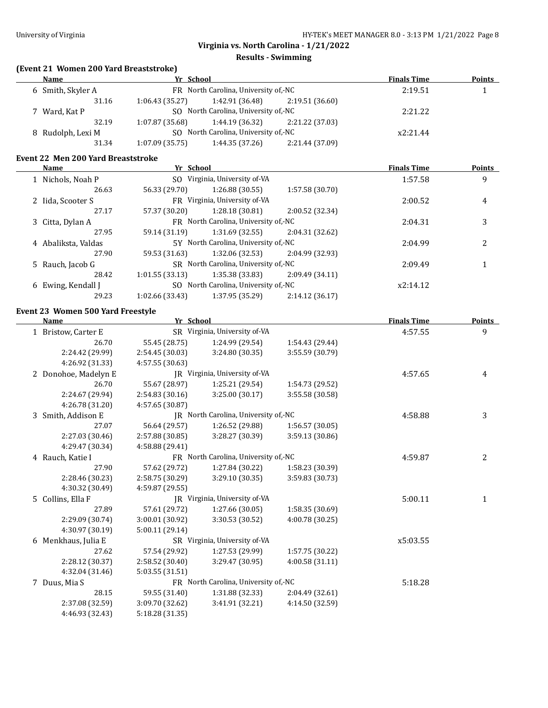## **Results - Swimming**

## **(Event 21 Women 200 Yard Breaststroke)**

|                         |                                      |                 | <b>Finals Time</b> | <b>Points</b>      |
|-------------------------|--------------------------------------|-----------------|--------------------|--------------------|
|                         | FR North Carolina, University of,-NC |                 |                    |                    |
| 1:06.43(35.27)<br>31.16 | 1:42.91 (36.48)                      | 2:19.51(36.60)  |                    |                    |
|                         | SO North Carolina, University of,-NC |                 |                    |                    |
| 32.19<br>1:07.87(35.68) | 1:44.19 (36.32)                      | 2:21.22 (37.03) |                    |                    |
|                         | SO North Carolina, University of,-NC |                 | x2:21.44           |                    |
| 1:07.09(35.75)<br>31.34 | 1:44.35 (37.26)                      | 2:21.44 (37.09) |                    |                    |
|                         |                                      | Yr School       |                    | 2:19.51<br>2:21.22 |

#### **Event 22 Men 200 Yard Breaststroke**

|   | <b>Name</b>         | Yr School       |                                      |                 | <b>Finals Time</b> | <b>Points</b> |
|---|---------------------|-----------------|--------------------------------------|-----------------|--------------------|---------------|
|   | 1 Nichols, Noah P   | SO.             | Virginia, University of-VA           |                 | 1:57.58            | 9             |
|   | 26.63               | 56.33 (29.70)   | 1:26.88 (30.55)                      | 1:57.58 (30.70) |                    |               |
|   | 2 Iida, Scooter S   |                 | FR Virginia, University of-VA        |                 | 2:00.52            | 4             |
|   | 27.17               | 57.37 (30.20)   | 1:28.18(30.81)                       | 2:00.52 (32.34) |                    |               |
|   | 3 Citta, Dylan A    |                 | FR North Carolina, University of,-NC |                 | 2:04.31            | 3             |
|   | 27.95               | 59.14 (31.19)   | 1:31.69(32.55)                       | 2:04.31 (32.62) |                    |               |
|   | 4 Abaliksta, Valdas |                 | 5Y North Carolina, University of,-NC |                 | 2:04.99            | 2             |
|   | 27.90               | 59.53 (31.63)   | 1:32.06 (32.53)                      | 2:04.99 (32.93) |                    |               |
|   | 5 Rauch, Jacob G    |                 | SR North Carolina, University of,-NC |                 | 2:09.49            |               |
|   | 28.42               | 1:01.55(33.13)  | 1:35.38 (33.83)                      | 2:09.49 (34.11) |                    |               |
| 6 | Ewing, Kendall J    |                 | SO North Carolina, University of, NC |                 | x2:14.12           |               |
|   | 29.23               | 1:02.66 (33.43) | 1:37.95 (35.29)                      | 2:14.12(36.17)  |                    |               |
|   |                     |                 |                                      |                 |                    |               |

## **Event 23 Women 500 Yard Freestyle**

| <b>Name</b>          | Yr School       |                                      |                 | <b>Finals Time</b> | <b>Points</b> |
|----------------------|-----------------|--------------------------------------|-----------------|--------------------|---------------|
| 1 Bristow, Carter E  |                 | SR Virginia, University of-VA        |                 | 4:57.55            | 9             |
| 26.70                | 55.45 (28.75)   | 1:24.99 (29.54)                      | 1:54.43 (29.44) |                    |               |
| 2:24.42 (29.99)      | 2:54.45 (30.03) | 3:24.80 (30.35)                      | 3:55.59 (30.79) |                    |               |
| 4:26.92 (31.33)      | 4:57.55 (30.63) |                                      |                 |                    |               |
| 2 Donohoe, Madelyn E |                 | JR Virginia, University of-VA        |                 | 4:57.65            | 4             |
| 26.70                | 55.67 (28.97)   | 1:25.21 (29.54)                      | 1:54.73 (29.52) |                    |               |
| 2:24.67 (29.94)      | 2:54.83 (30.16) | 3:25.00 (30.17)                      | 3:55.58 (30.58) |                    |               |
| 4:26.78 (31.20)      | 4:57.65 (30.87) |                                      |                 |                    |               |
| 3 Smith, Addison E   |                 | JR North Carolina, University of,-NC |                 | 4:58.88            | 3             |
| 27.07                | 56.64 (29.57)   | 1:26.52 (29.88)                      | 1:56.57 (30.05) |                    |               |
| 2:27.03 (30.46)      | 2:57.88 (30.85) | 3:28.27 (30.39)                      | 3:59.13 (30.86) |                    |               |
| 4:29.47 (30.34)      | 4:58.88 (29.41) |                                      |                 |                    |               |
| 4 Rauch, Katie I     |                 | FR North Carolina, University of,-NC |                 | 4:59.87            | 2             |
| 27.90                | 57.62 (29.72)   | 1:27.84 (30.22)                      | 1:58.23 (30.39) |                    |               |
| 2:28.46 (30.23)      | 2:58.75 (30.29) | 3:29.10 (30.35)                      | 3:59.83 (30.73) |                    |               |
| 4:30.32 (30.49)      | 4:59.87 (29.55) |                                      |                 |                    |               |
| 5 Collins, Ella F    |                 | JR Virginia, University of-VA        |                 | 5:00.11            | 1             |
| 27.89                | 57.61 (29.72)   | 1:27.66 (30.05)                      | 1:58.35 (30.69) |                    |               |
| 2:29.09 (30.74)      | 3:00.01 (30.92) | 3:30.53 (30.52)                      | 4:00.78 (30.25) |                    |               |
| 4:30.97 (30.19)      | 5:00.11(29.14)  |                                      |                 |                    |               |
| 6 Menkhaus, Julia E  |                 | SR Virginia, University of-VA        |                 | x5:03.55           |               |
| 27.62                | 57.54 (29.92)   | 1:27.53 (29.99)                      | 1:57.75 (30.22) |                    |               |
| 2:28.12 (30.37)      | 2:58.52 (30.40) | 3:29.47 (30.95)                      | 4:00.58(31.11)  |                    |               |
| 4:32.04 (31.46)      | 5:03.55(31.51)  |                                      |                 |                    |               |
| 7 Duus, Mia S        |                 | FR North Carolina, University of,-NC |                 | 5:18.28            |               |
| 28.15                | 59.55 (31.40)   | 1:31.88 (32.33)                      | 2:04.49 (32.61) |                    |               |
| 2:37.08 (32.59)      | 3:09.70 (32.62) | 3:41.91 (32.21)                      | 4:14.50 (32.59) |                    |               |
| 4:46.93 (32.43)      | 5:18.28 (31.35) |                                      |                 |                    |               |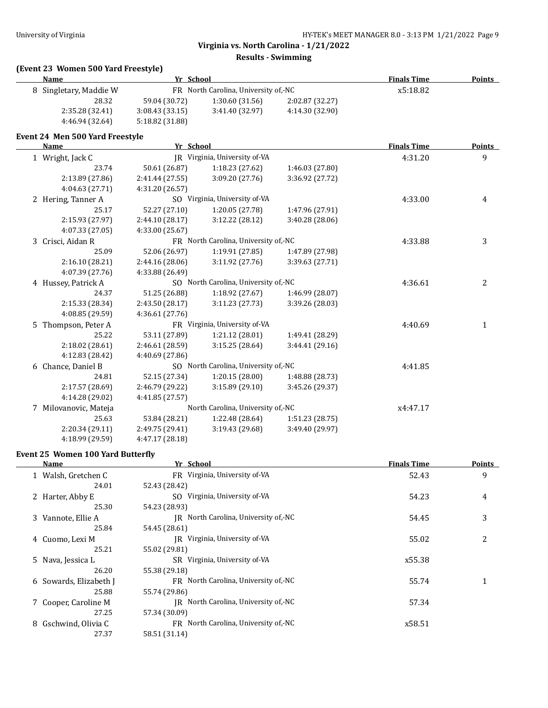#### **Results - Swimming**

# **(Event 23 Women 500 Yard Freestyle)**

| <b>Name</b>                     | Yr School                            |                                      |                 | <b>Finals Time</b> | <b>Points</b> |
|---------------------------------|--------------------------------------|--------------------------------------|-----------------|--------------------|---------------|
| 8 Singletary, Maddie W          |                                      | FR North Carolina, University of,-NC |                 | x5:18.82           |               |
| 28.32                           | 59.04 (30.72)                        | 1:30.60(31.56)                       | 2:02.87 (32.27) |                    |               |
| 2:35.28 (32.41)                 | 3:08.43 (33.15)                      | 3:41.40 (32.97)                      | 4:14.30 (32.90) |                    |               |
| 4:46.94 (32.64)                 | 5:18.82 (31.88)                      |                                      |                 |                    |               |
| Event 24 Men 500 Yard Freestyle |                                      |                                      |                 |                    |               |
| <b>Name</b>                     | Yr School                            |                                      |                 | <b>Finals Time</b> | <b>Points</b> |
| 1 Wright, Jack C                |                                      | JR Virginia, University of-VA        |                 | 4:31.20            | 9             |
| 23.74                           | 50.61 (26.87)                        | 1:18.23(27.62)                       | 1:46.03 (27.80) |                    |               |
| 2:13.89 (27.86)                 | 2:41.44 (27.55)                      | 3:09.20(27.76)                       | 3:36.92 (27.72) |                    |               |
| 4:04.63 (27.71)                 | 4:31.20 (26.57)                      |                                      |                 |                    |               |
| 2 Hering, Tanner A              |                                      | SO Virginia, University of-VA        |                 | 4:33.00            | 4             |
| 25.17                           | 52.27 (27.10)                        | 1:20.05 (27.78)                      | 1:47.96 (27.91) |                    |               |
| 2:15.93 (27.97)                 | 2:44.10 (28.17)                      | 3:12.22(28.12)                       | 3:40.28 (28.06) |                    |               |
| 4:07.33 (27.05)                 | 4:33.00 (25.67)                      |                                      |                 |                    |               |
| 3 Crisci, Aidan R               | FR North Carolina, University of,-NC |                                      |                 | 4:33.88            | 3             |
| 25.09                           | 52.06 (26.97)                        | 1:19.91(27.85)                       | 1:47.89 (27.98) |                    |               |
| 2:16.10 (28.21)                 | 2:44.16 (28.06)                      | 3:11.92(27.76)                       | 3:39.63 (27.71) |                    |               |
| 4:07.39 (27.76)                 | 4:33.88 (26.49)                      |                                      |                 |                    |               |
| 4 Hussey, Patrick A             |                                      | SO North Carolina, University of,-NC |                 | 4:36.61            | 2             |
| 24.37                           | 51.25 (26.88)                        | 1:18.92 (27.67)                      | 1:46.99 (28.07) |                    |               |
| 2:15.33 (28.34)                 | 2:43.50 (28.17)                      | 3:11.23(27.73)                       | 3:39.26 (28.03) |                    |               |
| 4:08.85 (29.59)                 | 4:36.61 (27.76)                      |                                      |                 |                    |               |
| 5 Thompson, Peter A             |                                      | FR Virginia, University of-VA        |                 | 4:40.69            | 1             |
| 25.22                           | 53.11 (27.89)                        | 1:21.12 (28.01)                      | 1:49.41 (28.29) |                    |               |
| 2:18.02 (28.61)                 | 2:46.61 (28.59)                      | 3:15.25(28.64)                       | 3:44.41 (29.16) |                    |               |
| 4:12.83 (28.42)                 | 4:40.69 (27.86)                      |                                      |                 |                    |               |
| 6 Chance, Daniel B              |                                      | SO North Carolina, University of,-NC |                 | 4:41.85            |               |
| 24.81                           | 52.15 (27.34)                        | 1:20.15(28.00)                       | 1:48.88 (28.73) |                    |               |
| 2:17.57 (28.69)                 | 2:46.79 (29.22)                      | 3:15.89(29.10)                       | 3:45.26 (29.37) |                    |               |
| 4:14.28 (29.02)                 | 4:41.85 (27.57)                      |                                      |                 |                    |               |
| 7 Milovanovic, Mateja           |                                      | North Carolina, University of,-NC    |                 | x4:47.17           |               |
| 25.63                           | 53.84 (28.21)                        | 1:22.48 (28.64)                      | 1:51.23(28.75)  |                    |               |
| 2:20.34 (29.11)                 | 2:49.75 (29.41)                      | 3:19.43 (29.68)                      | 3:49.40 (29.97) |                    |               |

#### **Event 25 Women 100 Yard Butterfly**

4:18.99 (29.59) 4:47.17 (28.18)

| <b>Name</b>             | Yr School                            | <b>Finals Time</b> | <b>Points</b> |
|-------------------------|--------------------------------------|--------------------|---------------|
| 1 Walsh, Gretchen C     | FR Virginia, University of-VA        | 52.43              | 9             |
| 24.01                   | 52.43 (28.42)                        |                    |               |
| 2 Harter, Abby E        | SO Virginia, University of-VA        | 54.23              | 4             |
| 25.30                   | 54.23 (28.93)                        |                    |               |
| 3 Vannote, Ellie A      | IR North Carolina, University of,-NC | 54.45              | 3             |
| 25.84                   | 54.45 (28.61)                        |                    |               |
| 4 Cuomo, Lexi M         | IR Virginia, University of-VA        | 55.02              | 2             |
| 25.21                   | 55.02 (29.81)                        |                    |               |
| 5 Nava, Jessica L       | SR Virginia, University of VA        | x55.38             |               |
| 26.20                   | 55.38 (29.18)                        |                    |               |
| 6 Sowards, Elizabeth J  | FR North Carolina, University of,-NC | 55.74              |               |
| 25.88                   | 55.74 (29.86)                        |                    |               |
| 7 Cooper, Caroline M    | IR North Carolina, University of,-NC | 57.34              |               |
| 27.25                   | 57.34 (30.09)                        |                    |               |
| Gschwind, Olivia C<br>8 | FR North Carolina, University of,-NC | x58.51             |               |
| 27.37                   | 58.51 (31.14)                        |                    |               |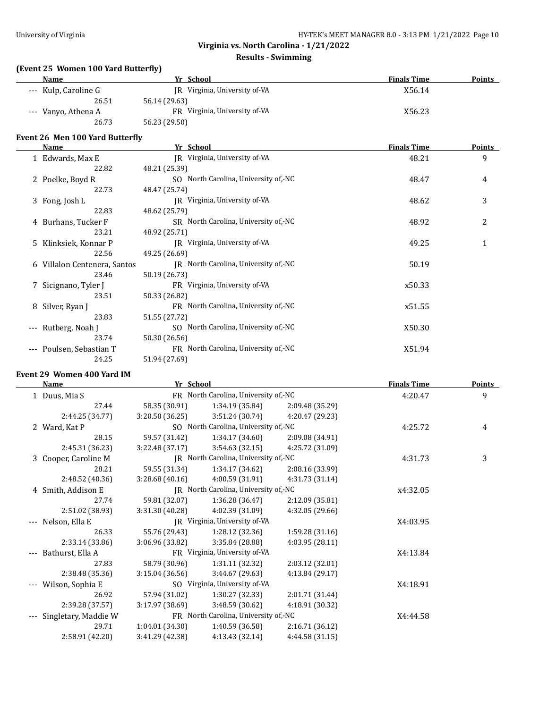## **Results - Swimming**

## **(Event 25 Women 100 Yard Butterfly)**

| <b>Name</b>          | Yr School                     | <b>Finals Time</b> | <b>Points</b> |
|----------------------|-------------------------------|--------------------|---------------|
| --- Kulp, Caroline G | JR Virginia, University of-VA | X56.14             |               |
| 26.51                | 56.14 (29.63)                 |                    |               |
| --- Vanyo, Athena A  | FR Virginia, University of VA | X56.23             |               |
| 26.73                | 56.23 (29.50)                 |                    |               |

## **Event 26 Men 100 Yard Butterfly**

|         | Name                         | Yr School                            | <b>Finals Time</b> | <b>Points</b> |
|---------|------------------------------|--------------------------------------|--------------------|---------------|
|         | 1 Edwards, Max E             | IR Virginia, University of-VA        | 48.21              | 9             |
|         | 22.82                        | 48.21 (25.39)                        |                    |               |
|         | 2 Poelke, Boyd R             | SO North Carolina, University of,-NC | 48.47              | 4             |
|         | 22.73                        | 48.47 (25.74)                        |                    |               |
|         | 3 Fong, Josh L               | JR Virginia, University of-VA        | 48.62              | 3             |
|         | 22.83                        | 48.62 (25.79)                        |                    |               |
|         | 4 Burhans, Tucker F          | SR North Carolina, University of, NC | 48.92              | 2             |
|         | 23.21                        | 48.92 (25.71)                        |                    |               |
|         | 5 Klinksiek, Konnar P        | IR Virginia, University of-VA        | 49.25              | 1             |
|         | 22.56                        | 49.25 (26.69)                        |                    |               |
|         | 6 Villalon Centenera, Santos | IR North Carolina, University of,-NC | 50.19              |               |
|         | 23.46                        | 50.19 (26.73)                        |                    |               |
|         | 7 Sicignano, Tyler J         | FR Virginia, University of-VA        | x50.33             |               |
|         | 23.51                        | 50.33 (26.82)                        |                    |               |
|         | 8 Silver, Ryan J             | FR North Carolina, University of, NC | x51.55             |               |
|         | 23.83                        | 51.55 (27.72)                        |                    |               |
| $---$   | Rutberg, Noah J              | SO North Carolina, University of, NC | X50.30             |               |
|         | 23.74                        | 50.30 (26.56)                        |                    |               |
| $- - -$ | Poulsen, Sebastian T         | FR North Carolina, University of, NC | X51.94             |               |
|         | 24.25                        | 51.94 (27.69)                        |                    |               |

#### **Event 29 Women 400 Yard IM**

|                     | <b>Name</b>          | Yr School       |                                      |                 | <b>Finals Time</b> | <b>Points</b> |
|---------------------|----------------------|-----------------|--------------------------------------|-----------------|--------------------|---------------|
|                     | 1 Duus, Mia S        |                 | FR North Carolina, University of,-NC |                 | 4:20.47            | 9             |
|                     | 27.44                | 58.35 (30.91)   | 1:34.19(35.84)                       | 2:09.48 (35.29) |                    |               |
|                     | 2:44.25 (34.77)      | 3:20.50(36.25)  | 3:51.24 (30.74)                      | 4:20.47 (29.23) |                    |               |
|                     | 2 Ward, Kat P        |                 | SO North Carolina, University of,-NC |                 | 4:25.72            | 4             |
|                     | 28.15                | 59.57 (31.42)   | 1:34.17 (34.60)                      | 2:09.08 (34.91) |                    |               |
|                     | 2:45.31 (36.23)      | 3:22.48 (37.17) | 3:54.63(32.15)                       | 4:25.72 (31.09) |                    |               |
|                     | 3 Cooper, Caroline M |                 | JR North Carolina, University of,-NC |                 | 4:31.73            | 3             |
|                     | 28.21                | 59.55 (31.34)   | 1:34.17(34.62)                       | 2:08.16 (33.99) |                    |               |
|                     | 2:48.52 (40.36)      | 3:28.68(40.16)  | 4:00.59 (31.91)                      | 4:31.73 (31.14) |                    |               |
|                     | 4 Smith, Addison E   |                 | JR North Carolina, University of,-NC |                 | x4:32.05           |               |
|                     | 27.74                | 59.81 (32.07)   | 1:36.28(36.47)                       | 2:12.09 (35.81) |                    |               |
|                     | 2:51.02 (38.93)      | 3:31.30(40.28)  | 4:02.39 (31.09)                      | 4:32.05 (29.66) |                    |               |
| $\qquad \qquad - -$ | Nelson, Ella E       |                 | JR Virginia, University of-VA        |                 | X4:03.95           |               |
|                     | 26.33                | 55.76 (29.43)   | 1:28.12(32.36)                       | 1:59.28(31.16)  |                    |               |
|                     | 2:33.14 (33.86)      | 3:06.96 (33.82) | 3:35.84 (28.88)                      | 4:03.95 (28.11) |                    |               |
| $---$               | Bathurst, Ella A     |                 | FR Virginia, University of-VA        |                 | X4:13.84           |               |
|                     | 27.83                | 58.79 (30.96)   | 1:31.11 (32.32)                      | 2:03.12 (32.01) |                    |               |
|                     | 2:38.48 (35.36)      | 3:15.04(36.56)  | 3:44.67 (29.63)                      | 4:13.84 (29.17) |                    |               |
| $---$               | Wilson, Sophia E     |                 | SO Virginia, University of VA        |                 | X4:18.91           |               |
|                     | 26.92                | 57.94 (31.02)   | 1:30.27(32.33)                       | 2:01.71 (31.44) |                    |               |
|                     | 2:39.28 (37.57)      | 3:17.97(38.69)  | 3:48.59 (30.62)                      | 4:18.91 (30.32) |                    |               |
|                     | Singletary, Maddie W |                 | FR North Carolina, University of,-NC |                 | X4:44.58           |               |
|                     | 29.71                | 1:04.01(34.30)  | 1:40.59 (36.58)                      | 2:16.71 (36.12) |                    |               |
|                     | 2:58.91 (42.20)      | 3:41.29 (42.38) | 4:13.43 (32.14)                      | 4:44.58 (31.15) |                    |               |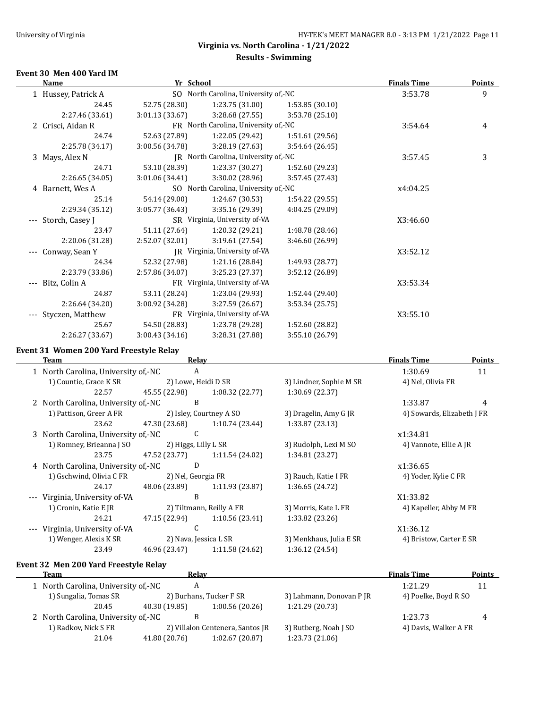## **Virginia vs. North Carolina - 1/21/2022 Results - Swimming**

#### **Event 30 Men 400 Yard IM**

|       | <b>Name</b>         | Yr School       |                                      |                 | <b>Finals Time</b> | <b>Points</b> |
|-------|---------------------|-----------------|--------------------------------------|-----------------|--------------------|---------------|
|       | 1 Hussey, Patrick A |                 | SO North Carolina, University of,-NC |                 | 3:53.78            | 9             |
|       | 24.45               | 52.75 (28.30)   | 1:23.75 (31.00)                      | 1:53.85(30.10)  |                    |               |
|       | 2:27.46 (33.61)     | 3:01.13(33.67)  | 3:28.68(27.55)                       | 3:53.78(25.10)  |                    |               |
|       | 2 Crisci, Aidan R   |                 | FR North Carolina, University of,-NC |                 | 3:54.64            | 4             |
|       | 24.74               | 52.63 (27.89)   | 1:22.05 (29.42)                      | 1:51.61 (29.56) |                    |               |
|       | 2:25.78 (34.17)     | 3:00.56 (34.78) | 3:28.19(27.63)                       | 3:54.64(26.45)  |                    |               |
|       | 3 Mays, Alex N      |                 | JR North Carolina, University of,-NC |                 | 3:57.45            | 3             |
|       | 24.71               | 53.10 (28.39)   | 1:23.37(30.27)                       | 1:52.60 (29.23) |                    |               |
|       | 2:26.65 (34.05)     | 3:01.06(34.41)  | 3:30.02 (28.96)                      | 3:57.45 (27.43) |                    |               |
|       | 4 Barnett, Wes A    |                 | SO North Carolina, University of,-NC |                 | x4:04.25           |               |
|       | 25.14               | 54.14 (29.00)   | 1:24.67 (30.53)                      | 1:54.22 (29.55) |                    |               |
|       | 2:29.34 (35.12)     | 3:05.77 (36.43) | 3:35.16 (29.39)                      | 4:04.25 (29.09) |                    |               |
| $---$ | Storch, Casey J     |                 | SR Virginia, University of-VA        |                 | X3:46.60           |               |
|       | 23.47               | 51.11 (27.64)   | 1:20.32(29.21)                       | 1:48.78 (28.46) |                    |               |
|       | 2:20.06 (31.28)     | 2:52.07 (32.01) | 3:19.61 (27.54)                      | 3:46.60 (26.99) |                    |               |
|       | Conway, Sean Y      |                 | JR Virginia, University of-VA        |                 | X3:52.12           |               |
|       | 24.34               | 52.32 (27.98)   | 1:21.16 (28.84)                      | 1:49.93 (28.77) |                    |               |
|       | 2:23.79 (33.86)     | 2:57.86 (34.07) | 3:25.23 (27.37)                      | 3:52.12 (26.89) |                    |               |
|       | Bitz, Colin A       |                 | FR Virginia, University of-VA        |                 | X3:53.34           |               |
|       | 24.87               | 53.11 (28.24)   | 1:23.04 (29.93)                      | 1:52.44 (29.40) |                    |               |
|       | 2:26.64 (34.20)     | 3:00.92 (34.28) | 3:27.59 (26.67)                      | 3:53.34(25.75)  |                    |               |
|       | Styczen, Matthew    |                 | FR Virginia, University of-VA        |                 | X3:55.10           |               |
|       | 25.67               | 54.50 (28.83)   | 1:23.78 (29.28)                      | 1:52.60 (28.82) |                    |               |
|       | 2:26.27 (33.67)     | 3:00.43 (34.16) | 3:28.31 (27.88)                      | 3:55.10 (26.79) |                    |               |

#### **Event 31 Women 200 Yard Freestyle Relay**

 $\overline{a}$ 

 $\overline{\phantom{0}}$ 

| Team                                | Relav                 |                          |                         | <b>Finals Time</b>         | <b>Points</b> |
|-------------------------------------|-----------------------|--------------------------|-------------------------|----------------------------|---------------|
| 1 North Carolina, University of,-NC | A                     |                          |                         | 1:30.69                    | 11            |
| 1) Countie, Grace K SR              | 2) Lowe, Heidi D SR   |                          | 3) Lindner, Sophie M SR | 4) Nel, Olivia FR          |               |
| 22.57                               | 45.55 (22.98)         | 1:08.32(22.77)           | 1:30.69 (22.37)         |                            |               |
| 2 North Carolina, University of,-NC | B                     |                          |                         | 1:33.87                    | 4             |
| 1) Pattison, Greer A FR             |                       | 2) Isley, Courtney A SO  | 3) Dragelin, Amy G JR   | 4) Sowards, Elizabeth J FR |               |
| 23.62                               | 47.30 (23.68)         | 1:10.74(23.44)           | 1:33.87(23.13)          |                            |               |
| 3 North Carolina, University of,-NC | С                     |                          |                         | x1:34.81                   |               |
| 1) Romney, Brieanna J SO            | 2) Higgs, Lilly L SR  |                          | 3) Rudolph, Lexi M SO   | 4) Vannote, Ellie A JR     |               |
| 23.75                               | 47.52 (23.77)         | 1:11.54 (24.02)          | 1:34.81 (23.27)         |                            |               |
| 4 North Carolina, University of,-NC | D                     |                          |                         | x1:36.65                   |               |
| 1) Gschwind, Olivia C FR            | 2) Nel, Georgia FR    |                          | 3) Rauch, Katie I FR    | 4) Yoder, Kylie C FR       |               |
| 24.17                               | 48.06 (23.89)         | 1:11.93(23.87)           | 1:36.65(24.72)          |                            |               |
| Virginia, University of-VA          | B                     |                          |                         | X1:33.82                   |               |
| 1) Cronin, Katie E JR               |                       | 2) Tiltmann, Reilly A FR | 3) Morris, Kate L FR    | 4) Kapeller, Abby M FR     |               |
| 24.21                               | 47.15 (22.94)         | 1:10.56(23.41)           | 1:33.82 (23.26)         |                            |               |
| Virginia, University of-VA          | C                     |                          |                         | X1:36.12                   |               |
| 1) Wenger, Alexis K SR              | 2) Nava, Jessica L SR |                          | 3) Menkhaus, Julia E SR | 4) Bristow, Carter E SR    |               |
| 23.49                               | 46.96 (23.47)         | 1:11.58 (24.62)          | 1:36.12(24.54)          |                            |               |
|                                     |                       |                          |                         |                            |               |

# **Event 32 Men 200 Yard Freestyle Relay**

| Team                                  | Relav         |                                  |                          | <b>Finals Time</b>    | Points |
|---------------------------------------|---------------|----------------------------------|--------------------------|-----------------------|--------|
| 1 North Carolina, University of,-NC   |               |                                  |                          | 1:21.29               |        |
| 1) Sungalia, Tomas SR                 |               | 2) Burhans, Tucker F SR          | 3) Lahmann, Donovan P JR | 4) Poelke, Boyd R SO  |        |
| 20.45                                 | 40.30 (19.85) | 1:00.56(20.26)                   | 1:21.29 (20.73)          |                       |        |
| 2 North Carolina, University of .- NC |               |                                  |                          | 1:23.73               |        |
| 1) Radkov, Nick S FR                  |               | 2) Villalon Centenera, Santos JR | 3) Rutberg, Noah J SO    | 4) Davis, Walker A FR |        |
| 21.04                                 | 41.80 (20.76) | 1:02.67(20.87)                   | 1:23.73 (21.06)          |                       |        |